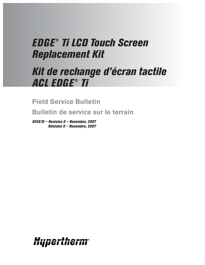# *EDGE® Ti LCD Touch Screen Replacement Kit*

# *Kit de rechange d'écran tactile ACL EDGE ® Ti*

**Field Service Bulletin**

**Bulletin de service sur le terrain**

*805610 – Revision 0 – November, 2007 Révision 0 – Novembre, 2007*

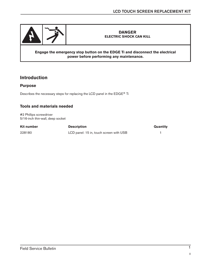

#### **DANGER ELECTRIC SHOCK CAN KILL**

#### **Engage the emergency stop button on the EDGE Ti and disconnect the electrical power before performing any maintenance.**

# **Introduction**

#### **Purpose**

Describes the necessary steps for replacing the LCD panel in the EDGE® Ti

## **Tools and materials needed**

#2 Phillips screwdriver 5/16-inch thin-wall, deep socket

| Kit number | <b>Description</b>                      | Quantity |
|------------|-----------------------------------------|----------|
| 228180     | LCD panel: 15 in, touch screen with USB |          |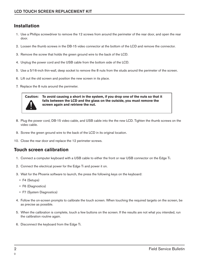# **Installation**

- 1. Use a Phillips screwdriver to remove the 12 screws from around the perimeter of the rear door, and open the rear door.
- 2. Loosen the thumb screws in the DB-15 video connector at the bottom of the LCD and remove the connector.
- 3. Remove the screw that holds the green ground wire to the back of the LCD.
- 4. Unplug the power cord and the USB cable from the bottom side of the LCD.
- 5. Use a 5/16-inch thin-wall, deep socket to remove the 8 nuts from the studs around the perimeter of the screen.
- 6. Lift out the old screen and position the new screen in its place.
- 7. Replace the 8 nuts around the perimeter.



**Caution: To avoid causing a short in the system, if you drop one of the nuts so that it falls between the LCD and the glass on the outside, you must remove the screen again and retrieve the nut.** 

- 8. Plug the power cord, DB-15 video cable, and USB cable into the the new LCD. Tighten the thumb screws on the video cable.
- 9. Screw the green ground wire to the back of the LCD in its original location.
- 10. Close the rear door and replace the 12 perimeter screws.

## **Touch screen calibration**

- 1. Connect a computer keyboard with a USB cable to either the front or rear USB connector on the Edge Ti.
- 2. Connect the electrical power for the Edge Ti and power it on.
- 3. Wait for the Phoenix software to launch, the press the following keys on the keyboard:
	- F4 (Setups)
	- F6 (Diagnostics)
	- F7 (System Diagnostics)
- 4. Follow the on-screen prompts to calibrate the touch screen. When touching the required targets on the screen, be as precise as possible.
- 5. When the calibration is complete, touch a few buttons on the screen. If the results are not what you intended, run the calibration routine again.
- 6. Disconnect the keyboard from the Edge Ti.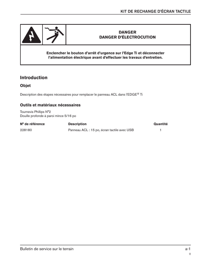

## **DANGER DANGER D'ÉLECTROCUTION**

**Enclencher le bouton d'arrêt d'urgence sur l'Edge Ti et déconnecter l'alimentation électrique avant d'effectuer les travaux d'entretien.**

## **Introduction**

### **Objet**

Description des étapes nécessaires pour remplacer le panneau ACL dans l'EDGE® Ti

### **Outils et matériaux nécessaires**

Tournevis Phillips N°2 Douille profonde à paroi mince 5/16 po

| N° de référence | <b>Description</b>                          | Quantité |
|-----------------|---------------------------------------------|----------|
| 228180          | Panneau ACL : 15 po, écran tactile avec USB |          |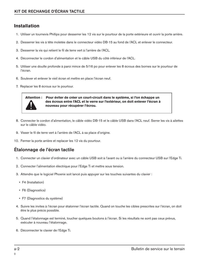# **Installation**

- 1. Utiliser un tournevis Phillips pour desserrer les 12 vis sur le pourtour de la porte extérieure et ouvrir la porte arrière.
- 2. Desserrer les vis à tête moletée dans le connecteur vidéo DB-15 au fond de l'ACL et enlever le connecteur.
- 3. Desserrer la vis qui retient le fil de terre vert à l'arrière de l'ACL.
- 4. Déconnecter le cordon d'alimentation et le câble USB du côté inférieur de l'ACL.
- 5. Utiliser une douille profonde à paroi mince de 5/16 po pour enlever les 8 écrous des bornes sur le pourtour de l'écran.
- 6. Soulever et enlever le vieil écran et mettre en place l'écran neuf.
- 7. Replacer les 8 écrous sur le pourtour.



**Attention : Pour éviter de créer un court-circuit dans le système, si l'on échappe un des écrous entre l'ACL et le verre sur l'extérieur, on doit enlever l'écran à nouveau pour récupérer l'écrou.** 

- 8. Connecter le cordon d'alimentation, le câble vidéo DB-15 et le câble USB dans l'ACL neuf. Serrer les vis à ailettes sur le câble vidéo.
- 9. Visser le fil de terre vert à l'arrière de l'ACL à sa place d'origine.
- 10. Fermer la porte arrière et replacer les 12 vis du pourtour.

# **Étalonnage de l'écran tactile**

- 1. Connecter un clavier d'ordinateur avec un câble USB soit à l'avant ou à l'arrière du connecteur USB sur l'Edge Ti.
- 2. Connecter l'alimentation électrique pour l'Edge Ti et mettre sous tension.
- 3. Attendre que le logiciel Phoenix soit lancé puis appuyer sur les touches suivantes du clavier :
	- F4 (Installation)
	- F6 (Diagnostics)
	- F7 (Diagnostics du système)
- 4. Suivre les invites à l'écran pour étalonner l'écran tactile. Quand on touche les cibles prescrites sur l'écran, on doit être le plus précis possible.
- 5. Quand l'étalonnage est terminé, toucher quelques boutons à l'écran. Si les résultats ne sont pas ceux prévus, exécuter à nouveau l'étalonnage.
- 6. Déconnecter le clavier de l'Edge Ti.